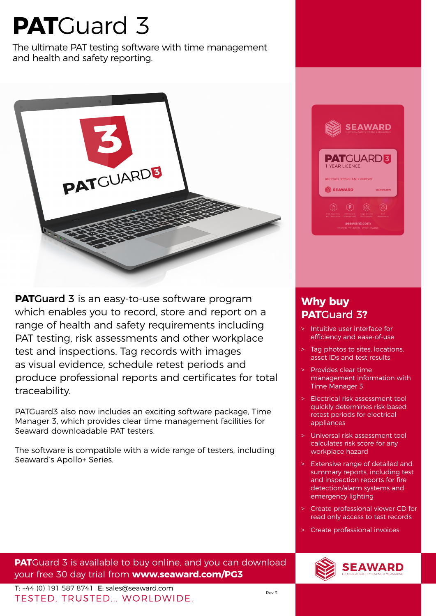## **PAT**Guard 3

The ultimate PAT testing software with time management and health and safety reporting.



**PATCuard 3** is an easy-to-use software program which enables you to record, store and report on a range of health and safety requirements including PAT testing, risk assessments and other workplace test and inspections. Tag records with images as visual evidence, schedule retest periods and produce professional reports and certificates for total traceability.

PATGuard3 also now includes an exciting software package, Time Manager 3, which provides clear time management facilities for Seaward downloadable PAT testers.

The software is compatible with a wide range of testers, including Seaward's Apollo+ Series.



## **Why buy PAT**Guard 3**?**

- Intuitive user interface for efficiency and ease-of-use
- > Tag photos to sites, locations, asset IDs and test results
- Provides clear time management information with Time Manager 3
- > Electrical risk assessment tool quickly determines risk-based retest periods for electrical appliances
- > Universal risk assessment tool calculates risk score for any workplace hazard
- > Extensive range of detailed and summary reports, including test and inspection reports for fire detection/alarm systems and emergency lighting
- Create professional viewer CD for read only access to test records
- > Create professional invoices

**PAT**Guard 3 is available to buy online, and you can download your free 30 day trial from **www.seaward.com/PG3**

**T:** +44 (0) 191 587 8741 **E**: sales@seaward.com Rev 3<br>TESTED. TRUSTED... WORLDWIDE.

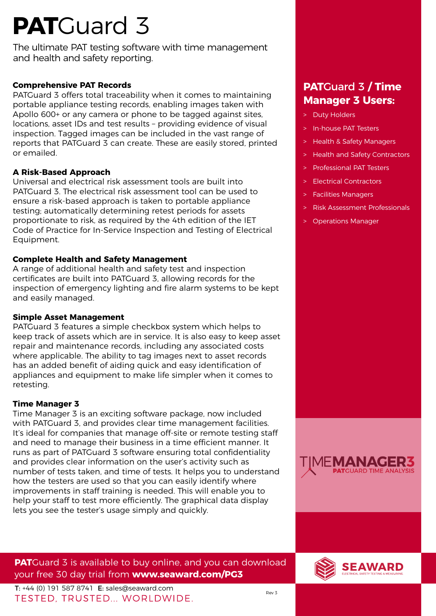# **PAT**Guard 3

The ultimate PAT testing software with time management and health and safety reporting.

## **Comprehensive PAT Records**

PATGuard 3 offers total traceability when it comes to maintaining portable appliance testing records, enabling images taken with Apollo 600+ or any camera or phone to be tagged against sites, locations, asset IDs and test results – providing evidence of visual inspection. Tagged images can be included in the vast range of reports that PATGuard 3 can create. These are easily stored, printed or emailed.

## **A Risk-Based Approach**

Universal and electrical risk assessment tools are built into PATGuard 3. The electrical risk assessment tool can be used to ensure a risk-based approach is taken to portable appliance testing; automatically determining retest periods for assets proportionate to risk, as required by the 4th edition of the IET Code of Practice for In-Service Inspection and Testing of Electrical Equipment.

## **Complete Health and Safety Management**

A range of additional health and safety test and inspection certificates are built into PATGuard 3, allowing records for the inspection of emergency lighting and fire alarm systems to be kept and easily managed.

### **Simple Asset Management**

PATGuard 3 features a simple checkbox system which helps to keep track of assets which are in service. It is also easy to keep asset repair and maintenance records, including any associated costs where applicable. The ability to tag images next to asset records has an added benefit of aiding quick and easy identification of appliances and equipment to make life simpler when it comes to retesting.

### **Time Manager 3**

Time Manager 3 is an exciting software package, now included with PATGuard 3, and provides clear time management facilities. It's ideal for companies that manage off-site or remote testing staff and need to manage their business in a time efficient manner. It runs as part of PATGuard 3 software ensuring total confidentiality and provides clear information on the user's activity such as number of tests taken, and time of tests. It helps you to understand how the testers are used so that you can easily identify where improvements in staff training is needed. This will enable you to help your staff to test more efficiently. The graphical data display lets you see the tester's usage simply and quickly.

## **PAT**Guard 3 is available to buy online, and you can download your free 30 day trial from **www.seaward.com/PG3**

- > Duty Holders
- > In-house PAT Testers
- > Health & Safety Managers
- Health and Safety Contractors
- > Professional PAT Testers
- > Electrical Contractors
- > Facilities Managers
- > Risk Assessment Professionals
- > Operations Manager





**T:** +44 (0) 191 587 8741 **E**: sales@seaward.com Rev 3<br>TESTED. TRUSTED... WORLDWIDE.